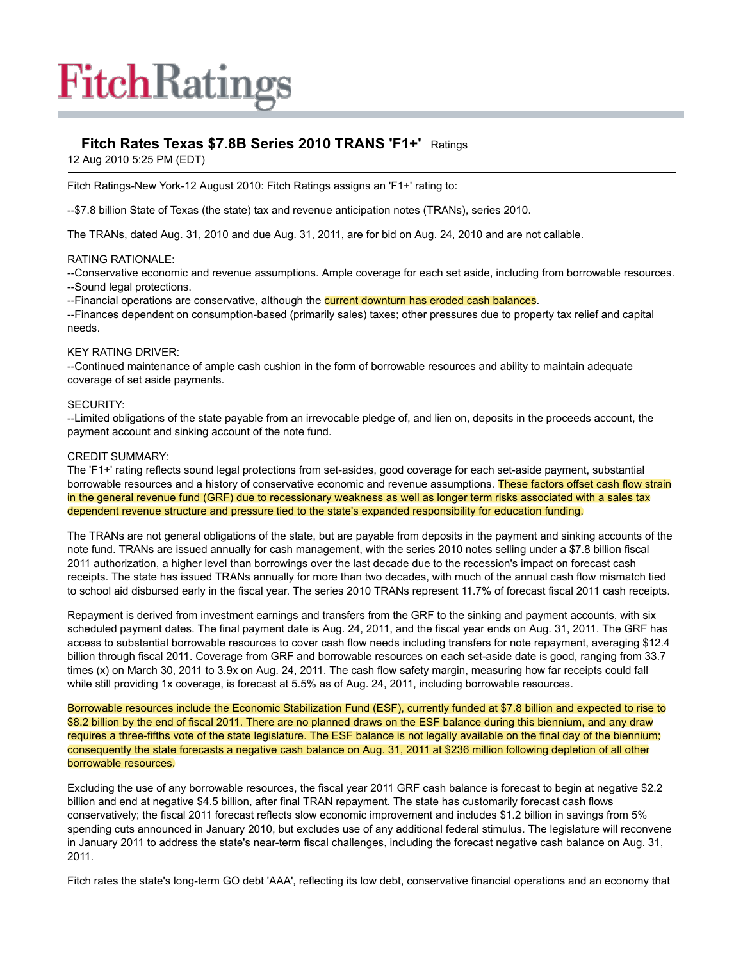# **FitchRatings**

## **Fitch Rates Texas \$7.8B Series 2010 TRANS 'F1+'** Ratings

12 Aug 2010 5:25 PM (EDT)

Fitch Ratings-New York-12 August 2010: Fitch Ratings assigns an 'F1+' rating to:

--\$7.8 billion State of Texas (the state) tax and revenue anticipation notes (TRANs), series 2010.

The TRANs, dated Aug. 31, 2010 and due Aug. 31, 2011, are for bid on Aug. 24, 2010 and are not callable.

### RATING RATIONALE:

--Conservative economic and revenue assumptions. Ample coverage for each set aside, including from borrowable resources.

--Sound legal protections.

--Financial operations are conservative, although the current downturn has eroded cash balances.

--Finances dependent on consumption-based (primarily sales) taxes; other pressures due to property tax relief and capital needs.

#### KEY RATING DRIVER:

--Continued maintenance of ample cash cushion in the form of borrowable resources and ability to maintain adequate coverage of set aside payments.

#### SECURITY:

--Limited obligations of the state payable from an irrevocable pledge of, and lien on, deposits in the proceeds account, the payment account and sinking account of the note fund.

#### CREDIT SUMMARY:

The 'F1+' rating reflects sound legal protections from set-asides, good coverage for each set-aside payment, substantial borrowable resources and a history of conservative economic and revenue assumptions. These factors offset cash flow strain in the general revenue fund (GRF) due to recessionary weakness as well as longer term risks associated with a sales tax dependent revenue structure and pressure tied to the state's expanded responsibility for education funding.

The TRANs are not general obligations of the state, but are payable from deposits in the payment and sinking accounts of the note fund. TRANs are issued annually for cash management, with the series 2010 notes selling under a \$7.8 billion fiscal 2011 authorization, a higher level than borrowings over the last decade due to the recession's impact on forecast cash receipts. The state has issued TRANs annually for more than two decades, with much of the annual cash flow mismatch tied to school aid disbursed early in the fiscal year. The series 2010 TRANs represent 11.7% of forecast fiscal 2011 cash receipts.

Repayment is derived from investment earnings and transfers from the GRF to the sinking and payment accounts, with six scheduled payment dates. The final payment date is Aug. 24, 2011, and the fiscal year ends on Aug. 31, 2011. The GRF has access to substantial borrowable resources to cover cash flow needs including transfers for note repayment, averaging \$12.4 billion through fiscal 2011. Coverage from GRF and borrowable resources on each set-aside date is good, ranging from 33.7 times (x) on March 30, 2011 to 3.9x on Aug. 24, 2011. The cash flow safety margin, measuring how far receipts could fall while still providing 1x coverage, is forecast at 5.5% as of Aug. 24, 2011, including borrowable resources.

Borrowable resources include the Economic Stabilization Fund (ESF), currently funded at \$7.8 billion and expected to rise to \$8.2 billion by the end of fiscal 2011. There are no planned draws on the ESF balance during this biennium, and any draw requires a three-fifths vote of the state legislature. The ESF balance is not legally available on the final day of the biennium; consequently the state forecasts a negative cash balance on Aug. 31, 2011 at \$236 million following depletion of all other borrowable resources.

Excluding the use of any borrowable resources, the fiscal year 2011 GRF cash balance is forecast to begin at negative \$2.2 billion and end at negative \$4.5 billion, after final TRAN repayment. The state has customarily forecast cash flows conservatively; the fiscal 2011 forecast reflects slow economic improvement and includes \$1.2 billion in savings from 5% spending cuts announced in January 2010, but excludes use of any additional federal stimulus. The legislature will reconvene in January 2011 to address the state's near-term fiscal challenges, including the forecast negative cash balance on Aug. 31, 2011.

Fitch rates the state's long-term GO debt 'AAA', reflecting its low debt, conservative financial operations and an economy that